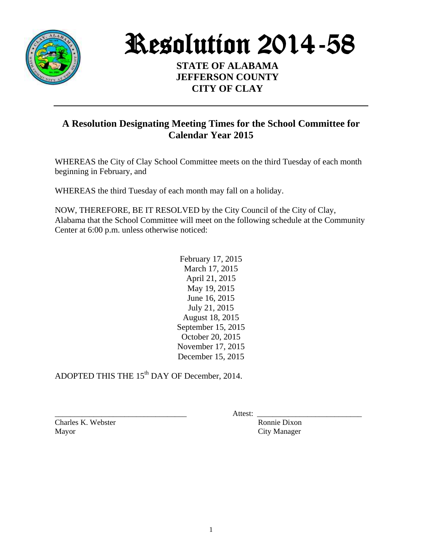

Resolution 2014-58

**STATE OF ALABAMA JEFFERSON COUNTY CITY OF CLAY**

## **A Resolution Designating Meeting Times for the School Committee for Calendar Year 2015**

WHEREAS the City of Clay School Committee meets on the third Tuesday of each month beginning in February, and

WHEREAS the third Tuesday of each month may fall on a holiday.

NOW, THEREFORE, BE IT RESOLVED by the City Council of the City of Clay, Alabama that the School Committee will meet on the following schedule at the Community Center at 6:00 p.m. unless otherwise noticed:

> February 17, 2015 March 17, 2015 April 21, 2015 May 19, 2015 June 16, 2015 July 21, 2015 August 18, 2015 September 15, 2015 October 20, 2015 November 17, 2015 December 15, 2015

ADOPTED THIS THE 15<sup>th</sup> DAY OF December, 2014.

Charles K. Webster Ronnie Dixon Mayor City Manager

\_\_\_\_\_\_\_\_\_\_\_\_\_\_\_\_\_\_\_\_\_\_\_\_\_\_\_\_\_\_\_\_\_\_ Attest: \_\_\_\_\_\_\_\_\_\_\_\_\_\_\_\_\_\_\_\_\_\_\_\_\_\_\_